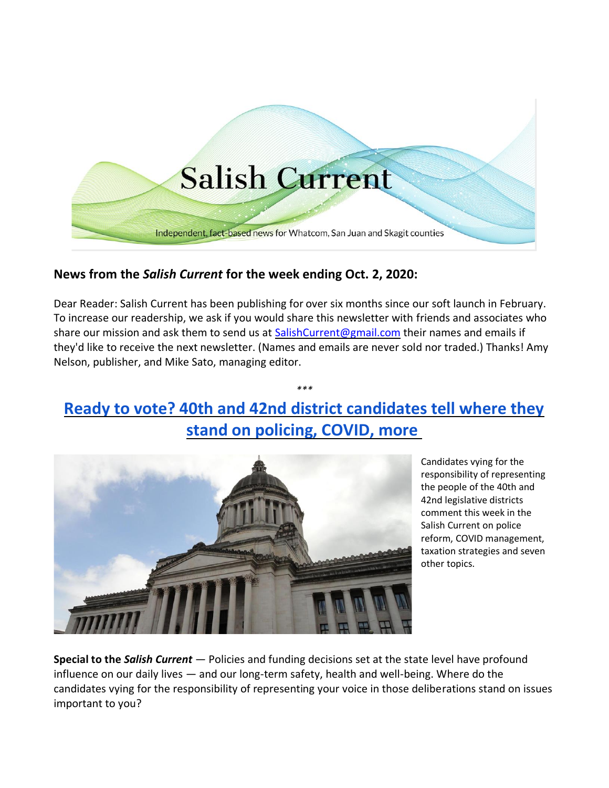

## **News from the** *Salish Current* **for the week ending Oct. 2, 2020:**

Dear Reader: Salish Current has been publishing for over six months since our soft launch in February. To increase our readership, we ask if you would share this newsletter with friends and associates who share our mission and ask them to send us at [SalishCurrent@gmail.com](mailto:SalishCurrent@gmail.com) their names and emails if they'd like to receive the next newsletter. (Names and emails are never sold nor traded.) Thanks! Amy Nelson, publisher, and Mike Sato, managing editor.

# **[Ready to vote? 40th and 42nd district candidates tell where they](https://salish-current.org/2020/10/02/ready-to-vote-40th-and-42nd-district-candidates-tell-where-they-stand-on-policing-covid-more/)  [stand on policing, COVID, more](https://salish-current.org/2020/10/02/ready-to-vote-40th-and-42nd-district-candidates-tell-where-they-stand-on-policing-covid-more/)**

*\*\*\**



Candidates vying for the responsibility of representing the people of the 40th and 42nd legislative districts comment this week in the Salish Current on police reform, COVID management, taxation strategies and seven other topics.

**Special to the** *Salish Current* — Policies and funding decisions set at the state level have profound influence on our daily lives — and our long-term safety, health and well-being. Where do the candidates vying for the responsibility of representing your voice in those deliberations stand on issues important to you?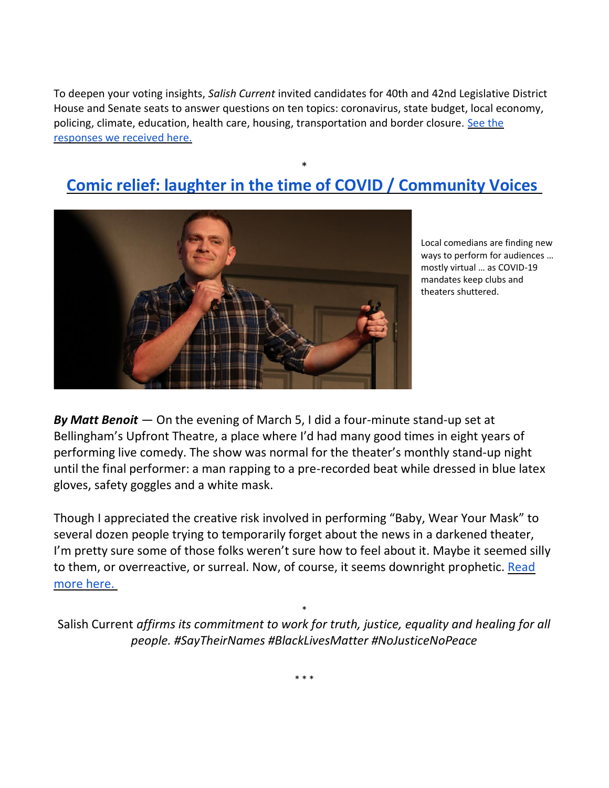To deepen your voting insights, *Salish Current* invited candidates for 40th and 42nd Legislative District House and Senate seats to answer questions on ten topics: coronavirus, state budget, local economy, policing, climate, education, health care, housing, transportation and border closure. [See the](https://salish-current.org/2020/10/02/ready-to-vote-40th-and-42nd-district-candidates-tell-where-they-stand-on-policing-covid-more/)  [responses we received here.](https://salish-current.org/2020/10/02/ready-to-vote-40th-and-42nd-district-candidates-tell-where-they-stand-on-policing-covid-more/)

# \* **[Comic relief: laughter in the time of COVID / Community Voices](https://salish-current.org/2020/10/02/comic-relief-laughter-in-the-time-of-covid-community-voices/)**



Local comedians are finding new ways to perform for audiences … mostly virtual … as COVID-19 mandates keep clubs and theaters shuttered.

*By Matt Benoit* — On the evening of March 5, I did a four-minute stand-up set at Bellingham's Upfront Theatre, a place where I'd had many good times in eight years of performing live comedy. The show was normal for the theater's monthly stand-up night until the final performer: a man rapping to a pre-recorded beat while dressed in blue latex gloves, safety goggles and a white mask.

Though I appreciated the creative risk involved in performing "Baby, Wear Your Mask" to several dozen people trying to temporarily forget about the news in a darkened theater, I'm pretty sure some of those folks weren't sure how to feel about it. Maybe it seemed silly to them, or overreactive, or surreal. Now, of course, it seems downright prophetic. [Read](https://salish-current.org/2020/10/02/comic-relief-laughter-in-the-time-of-covid-community-voices/)  [more here.](https://salish-current.org/2020/10/02/comic-relief-laughter-in-the-time-of-covid-community-voices/)

\* Salish Current *affirms its commitment to work for truth, justice, equality and healing for all people. #SayTheirNames #BlackLivesMatter #NoJusticeNoPeace*

\* \* \*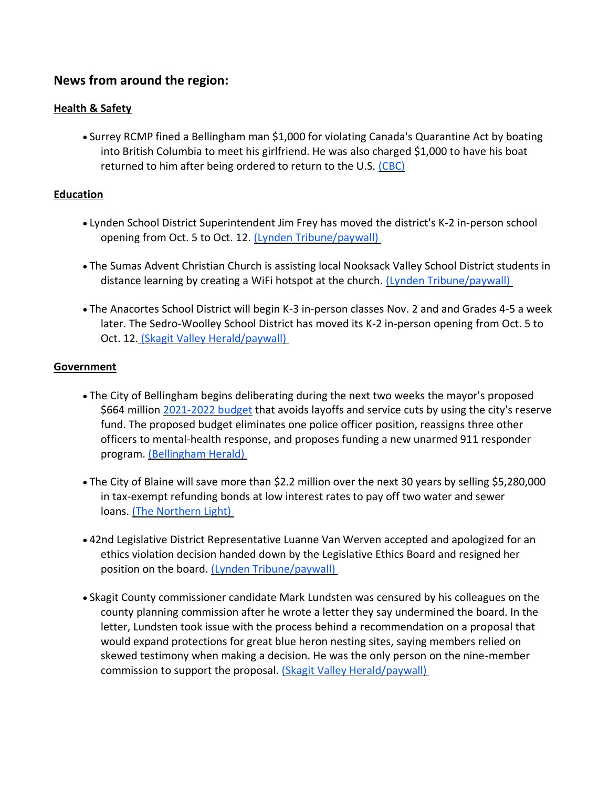### **News from around the region:**

#### **Health & Safety**

• Surrey RCMP fined a Bellingham man \$1,000 for violating Canada's Quarantine Act by boating into British Columbia to meet his girlfriend. He was also charged \$1,000 to have his boat returned to him after being ordered to return to the U.S. [\(CBC\)](https://www.cbc.ca/news/canada/british-columbia/quarantine-act-violation-1.5745815)

#### **Education**

- Lynden School District Superintendent Jim Frey has moved the district's K-2 in-person school opening from Oct. 5 to Oct. 12. [\(Lynden Tribune/paywall\)](https://www.lyndentribune.com/news/lynden-k-2-in-person-restart-now-oct-12/article_7c4f2922-02ae-11eb-bc47-c33150032e65.html)
- The Sumas Advent Christian Church is assisting local Nooksack Valley School District students in distance learning by creating a WiFi hotspot at the church. [\(Lynden Tribune/paywall\)](https://www.lyndentribune.com/news/sumas-church-creates-a-wifi-hotspot-to-aid-kids-learning/article_a58a2938-02b1-11eb-a512-f341a2b46fe2.html)
- The Anacortes School District will begin K-3 in-person classes Nov. 2 and and Grades 4-5 a week later. The Sedro-Woolley School District has moved its K-2 in-person opening from Oct. 5 to Oct. 12. [\(Skagit Valley Herald/paywall\)](https://www.goskagit.com/news/anacortes-school-district-announces-reopening-plan/article_582064f0-56ca-5b6a-969e-7f909c8bb1a9.html)

#### **Government**

- The City of Bellingham begins deliberating during the next two weeks the mayor's proposed \$664 million [2021-2022 budget](https://cob.org/wp-content/uploads/2021-22-Preliminary-Budget.pdf) that avoids layoffs and service cuts by using the city's reserve fund. The proposed budget eliminates one police officer position, reassigns three other officers to mental-health response, and proposes funding a new unarmed 911 responder program. [\(Bellingham Herald\)](https://www.bellinghamherald.com/news/local/article246121840.html)
- The City of Blaine will save more than \$2.2 million over the next 30 years by selling \$5,280,000 in tax-exempt refunding bonds at low interest rates to pay off two water and sewer loans. [\(The Northern Light\)](https://www.thenorthernlight.com/stories/city-of-blaine-saves-over-2-million-by-refinancing-sewer-utility-fund-debt,11603?)
- 42nd Legislative District Representative Luanne Van Werven accepted and apologized for an ethics violation decision handed down by the Legislative Ethics Board and resigned her position on the board. [\(Lynden Tribune/paywall\)](https://www.lyndentribune.com/news/van-werven-fined-for-ethics-violation/article_16f3fdaa-011e-11eb-97bd-63dcf222195f.html)
- Skagit County commissioner candidate Mark Lundsten was censured by his colleagues on the county planning commission after he wrote a letter they say undermined the board. In the letter, Lundsten took issue with the process behind a recommendation on a proposal that would expand protections for great blue heron nesting sites, saying members relied on skewed testimony when making a decision. He was the only person on the nine-member commission to support the proposal. [\(Skagit Valley Herald/paywall\)](https://www.goskagit.com/news/county-commissioner-candidate-censured-by-planning-commission/article_96f164f6-8c89-51eb-88e0-1b0cbaa9f731.html)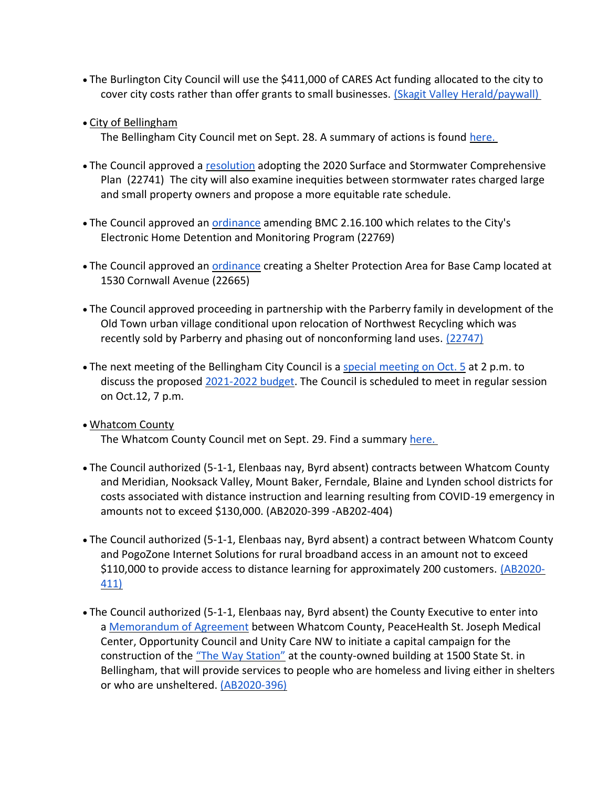- The Burlington City Council will use the \$411,000 of CARES Act funding allocated to the city to cover city costs rather than offer grants to small businesses. [\(Skagit Valley Herald/paywall\)](https://www.goskagit.com/news/local_news/burlington-council-decides-against-covid-relief-grants/article_4995831d-c845-5a20-bae2-7b60f1bd8076.html)
- City of Bellingham

The Bellingham City Council met on Sept. 28. A summary of actions is found [here.](https://meetings.cob.org/Meetings/ViewMeeting?id=2338&doctype=3)

- The Council approved a [resolution](https://meetings.cob.org/Documents/ViewDocument/Attachment%20-%20RESOLUTION%20-%20AB_%2022741.pdf?meetingId=2338&documentType=Agenda&itemId=16170&publishId=17834&isSection=false) adopting the 2020 Surface and Stormwater Comprehensive Plan (22741) The city will also examine inequities between stormwater rates charged large and small property owners and propose a more equitable rate schedule.
- The Council approved an [ordinance](https://meetings.cob.org/Documents/ViewDocument/Attachment%20-%20ORDINANCE%20AMENDING%20BMC%202.16.100%20-%20AB_%2022769.pdf?meetingId=2338&documentType=Agenda&itemId=16177&publishId=17852&isSection=false) amending BMC 2.16.100 which relates to the City's Electronic Home Detention and Monitoring Program (22769)
- The Council approved an **[ordinance](https://meetings.cob.org/Documents/ViewDocument/Attachment%20-%20ORDINANCE%20-%20AB_%2022665.pdf?meetingId=2338&documentType=Agenda&itemId=16182&publishId=17855&isSection=false) creating a Shelter Protection** Area for Base Camp located at 1530 Cornwall Avenue (22665)
- The Council approved proceeding in partnership with the Parberry family in development of the Old Town urban village conditional upon relocation of Northwest Recycling which was recently sold by Parberry and phasing out of nonconforming land uses. [\(22747\)](https://meetings.cob.org/Documents/ViewDocument/Agenda%20Bill%2022747.pdf?meetingId=2338&documentType=Agenda&itemId=16179&publishId=17856&isSection=false)
- The next meeting of the Bellingham City Council is a [special meeting on Oct. 5](https://meetings.cob.org/Meetings/ViewMeeting?id=2339&doctype=1) at 2 p.m. to discuss the proposed [2021-2022 budget.](https://cob.org/wp-content/uploads/2021-22-Preliminary-Budget.pdf) The Council is scheduled to meet in regular session on Oct.12, 7 p.m.
- Whatcom County The Whatcom County Council met on Sept. 29. Find a summary [here.](https://whatcom.legistar.com/View.ashx?M=E2&ID=735042&GUID=1221E291-131B-4EC6-94CC-F31B8B073DF1)
- The Council authorized (5-1-1, Elenbaas nay, Byrd absent) contracts between Whatcom County and Meridian, Nooksack Valley, Mount Baker, Ferndale, Blaine and Lynden school districts for costs associated with distance instruction and learning resulting from COVID-19 emergency in amounts not to exceed \$130,000. (AB2020-399 -AB202-404)
- The Council authorized (5-1-1, Elenbaas nay, Byrd absent) a contract between Whatcom County and PogoZone Internet Solutions for rural broadband access in an amount not to exceed \$110,000 to provide access to distance learning for approximately 200 customers. [\(AB2020-](https://whatcom.legistar.com/View.ashx?M=F&ID=8808008&GUID=66D821F7-4C81-45A4-8C01-6626747A9A6C) [411\)](https://whatcom.legistar.com/View.ashx?M=F&ID=8808008&GUID=66D821F7-4C81-45A4-8C01-6626747A9A6C)
- The Council authorized (5-1-1, Elenbaas nay, Byrd absent) the County Executive to enter into a [Memorandum of Agreement](https://whatcom.legistar.com/View.ashx?M=F&ID=8807989&GUID=0CD85029-FCCB-4D61-9360-A1A01FCA4AE7) between Whatcom County, PeaceHealth St. Joseph Medical Center, Opportunity Council and Unity Care NW to initiate a capital campaign for the construction of the ["The Way Station"](https://whatcom.legistar.com/View.ashx?M=F&ID=8807990&GUID=3A6C1EED-337F-4F06-8695-627AEEA9AE2F) at the county-owned building at 1500 State St. in Bellingham, that will provide services to people who are homeless and living either in shelters or who are unsheltered. [\(AB2020-396\)](https://whatcom.legistar.com/View.ashx?M=F&ID=8807991&GUID=001037B5-D62A-4968-9252-FA292C1168F6)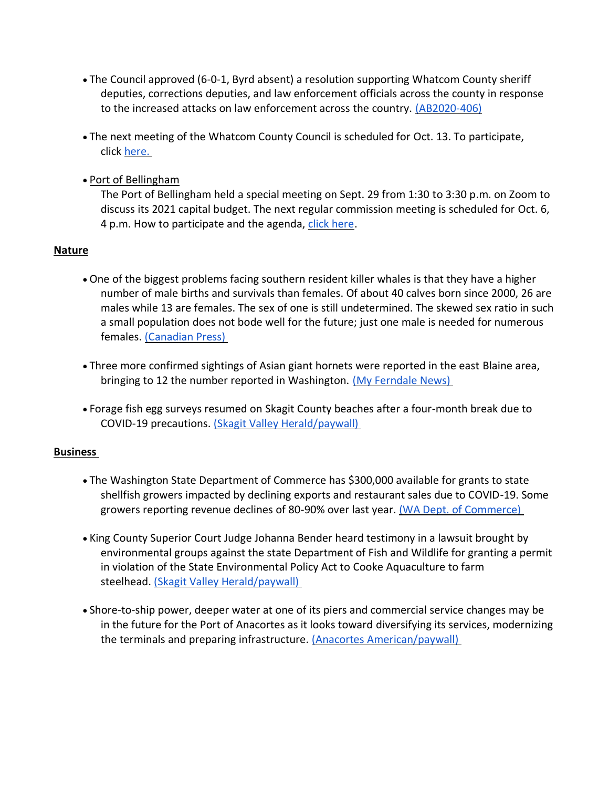- The Council approved (6-0-1, Byrd absent) a resolution supporting Whatcom County sheriff deputies, corrections deputies, and law enforcement officials across the county in response to the increased attacks on law enforcement across the country. [\(AB2020-406\)](https://whatcom.legistar.com/View.ashx?M=F&ID=8808076&GUID=9ADE5FE0-234C-41B1-98CD-8F00952B9FBE)
- The next meeting of the Whatcom County Council is scheduled for Oct. 13. To participate, click [here.](http://www.whatcomcounty.us/3415/Participate-in-Virtual-Council-Meetings)
- Port of Bellingham

The Port of Bellingham held a special meeting on Sept. 29 from 1:30 to 3:30 p.m. on Zoom to discuss its 2021 capital budget. The next regular commission meeting is scheduled for Oct. 6, 4 p.m. How to participate and the agenda, [click here.](https://www.portofbellingham.com/AgendaCenter/ViewFile/Agenda/_10062020-452)

#### **Nature**

- One of the biggest problems facing southern resident killer whales is that they have a higher number of male births and survivals than females. Of about 40 calves born since 2000, 26 are males while 13 are females. The sex of one is still undetermined. The skewed sex ratio in such a small population does not bode well for the future; just one male is needed for numerous females. [\(Canadian Press\)](https://vancouversun.com/news/local-news/more-female-southern-resident-killer-whales-needed-for-population-growth-scientists)
- Three more confirmed sightings of Asian giant hornets were reported in the east Blaine area, bringing to 12 the number reported in Washington. [\(My Ferndale News\)](https://myferndalenews.com/new-confirmed-sightings-of-asian-giant-hornets-in-northwest-whatcom-county_107705/)
- Forage fish egg surveys resumed on Skagit County beaches after a four-month break due to COVID-19 precautions. [\(Skagit Valley Herald/paywall\)](https://www.goskagit.com/news/forage-fish-surveys-resume-on-beaches/article_2ac26dbd-a3a6-5159-9413-11f87aa880c8.html)

#### **Business**

- The Washington State Department of Commerce has \$300,000 available for grants to state shellfish growers impacted by declining exports and restaurant sales due to COVID-19. Some growers reporting revenue declines of 80-90% over last year. [\(WA Dept. of Commerce\)](https://theorcasonian.com/state-to-provide-300k-in-emergency-grants-to-washington-shellfish-growers/)
- King County Superior Court Judge Johanna Bender heard testimony in a lawsuit brought by environmental groups against the state Department of Fish and Wildlife for granting a permit in violation of the State Environmental Policy Act to Cooke Aquaculture to farm steelhead. [\(Skagit Valley Herald/paywall\)](https://www.goskagit.com/news/environment/judge-hears-lawsuit-over-fish-farms/article_bee1ad57-88c7-5b8a-9e59-b30a378765fd.html)
- Shore-to-ship power, deeper water at one of its piers and commercial service changes may be in the future for the Port of Anacortes as it looks toward diversifying its services, modernizing the terminals and preparing infrastructure. (Anacortes [American/paywall\)](https://www.goskagit.com/anacortes/news/port-looks-at-modernizing-terminals-services/article_7be6c270-02a8-11eb-aa9b-5b8d67bd8df4.html)